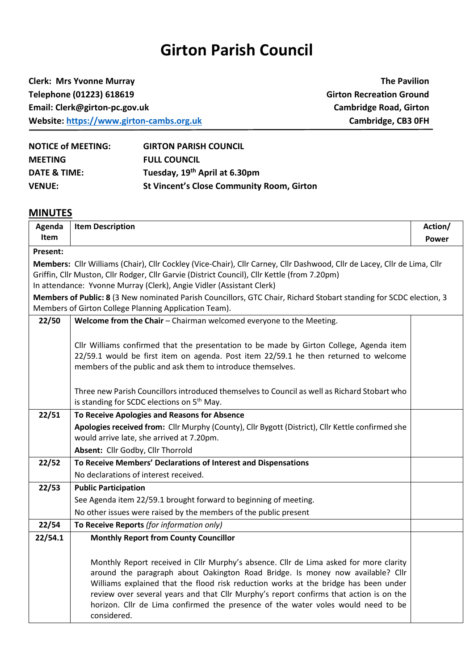## **Girton Parish Council**

**Clerk: Mrs Yvonne Murray The Pavilion Telephone (01223) 618619 Girton Recreation Ground Email: Clerk@girton-pc.gov.uk Cambridge Road, Girton Website:** [https://www.girton-cambs.org.uk](https://www.girton-cambs.org.uk/) **Cambridge, CB3 0FH** 

| <b>NOTICE of MEETING:</b> | <b>GIRTON PARISH COUNCIL</b>                     |
|---------------------------|--------------------------------------------------|
| <b>MEETING</b>            | <b>FULL COUNCIL</b>                              |
| DATE & TIME:              | Tuesday, 19 <sup>th</sup> April at 6.30pm        |
| <b>VENUE:</b>             | <b>St Vincent's Close Community Room, Girton</b> |

## **MINUTES**

| Agenda   | <b>Item Description</b>                                                                                                                                                     | Action/ |
|----------|-----------------------------------------------------------------------------------------------------------------------------------------------------------------------------|---------|
| Item     |                                                                                                                                                                             | Power   |
| Present: |                                                                                                                                                                             |         |
|          | Members: Cllr Williams (Chair), Cllr Cockley (Vice-Chair), Cllr Carney, Cllr Dashwood, Cllr de Lacey, Cllr de Lima, Cllr                                                    |         |
|          | Griffin, Cllr Muston, Cllr Rodger, Cllr Garvie (District Council), Cllr Kettle (from 7.20pm)                                                                                |         |
|          | In attendance: Yvonne Murray (Clerk), Angie Vidler (Assistant Clerk)                                                                                                        |         |
|          | Members of Public: 8 (3 New nominated Parish Councillors, GTC Chair, Richard Stobart standing for SCDC election, 3<br>Members of Girton College Planning Application Team). |         |
| 22/50    | Welcome from the Chair - Chairman welcomed everyone to the Meeting.                                                                                                         |         |
|          |                                                                                                                                                                             |         |
|          | Cllr Williams confirmed that the presentation to be made by Girton College, Agenda item                                                                                     |         |
|          | 22/59.1 would be first item on agenda. Post item 22/59.1 he then returned to welcome                                                                                        |         |
|          | members of the public and ask them to introduce themselves.                                                                                                                 |         |
|          |                                                                                                                                                                             |         |
|          | Three new Parish Councillors introduced themselves to Council as well as Richard Stobart who                                                                                |         |
|          | is standing for SCDC elections on 5 <sup>th</sup> May.                                                                                                                      |         |
| 22/51    | To Receive Apologies and Reasons for Absence                                                                                                                                |         |
|          | Apologies received from: Cllr Murphy (County), Cllr Bygott (District), Cllr Kettle confirmed she                                                                            |         |
|          | would arrive late, she arrived at 7.20pm.                                                                                                                                   |         |
|          | Absent: Cllr Godby, Cllr Thorrold                                                                                                                                           |         |
| 22/52    | To Receive Members' Declarations of Interest and Dispensations                                                                                                              |         |
|          | No declarations of interest received.                                                                                                                                       |         |
| 22/53    | <b>Public Participation</b>                                                                                                                                                 |         |
|          | See Agenda item 22/59.1 brought forward to beginning of meeting.                                                                                                            |         |
|          | No other issues were raised by the members of the public present                                                                                                            |         |
| 22/54    | To Receive Reports (for information only)                                                                                                                                   |         |
| 22/54.1  | <b>Monthly Report from County Councillor</b>                                                                                                                                |         |
|          |                                                                                                                                                                             |         |
|          | Monthly Report received in Cllr Murphy's absence. Cllr de Lima asked for more clarity                                                                                       |         |
|          | around the paragraph about Oakington Road Bridge. Is money now available? Cllr<br>Williams explained that the flood risk reduction works at the bridge has been under       |         |
|          | review over several years and that Cllr Murphy's report confirms that action is on the                                                                                      |         |
|          | horizon. Cllr de Lima confirmed the presence of the water voles would need to be                                                                                            |         |
|          | considered.                                                                                                                                                                 |         |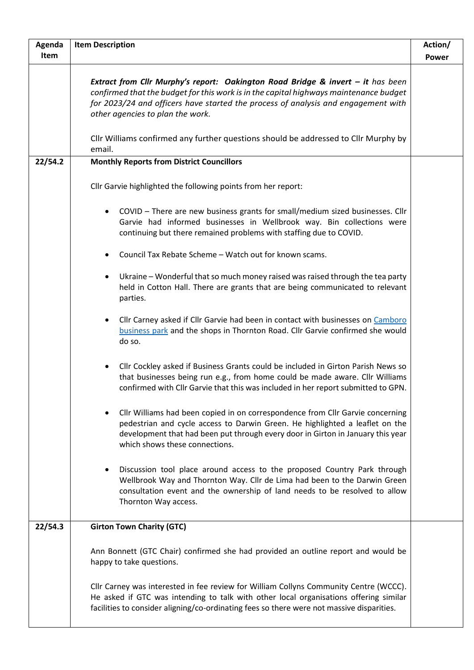| Agenda      | <b>Item Description</b>                                                                                                                                                                                                                                                                           | Action/ |
|-------------|---------------------------------------------------------------------------------------------------------------------------------------------------------------------------------------------------------------------------------------------------------------------------------------------------|---------|
| <b>Item</b> |                                                                                                                                                                                                                                                                                                   | Power   |
|             | Extract from Cllr Murphy's report: Oakington Road Bridge & invert - it has been<br>confirmed that the budget for this work is in the capital highways maintenance budget<br>for 2023/24 and officers have started the process of analysis and engagement with<br>other agencies to plan the work. |         |
|             | Cllr Williams confirmed any further questions should be addressed to Cllr Murphy by<br>email.                                                                                                                                                                                                     |         |
| 22/54.2     | <b>Monthly Reports from District Councillors</b>                                                                                                                                                                                                                                                  |         |
|             | Cllr Garvie highlighted the following points from her report:                                                                                                                                                                                                                                     |         |
|             | COVID - There are new business grants for small/medium sized businesses. Cllr<br>$\bullet$<br>Garvie had informed businesses in Wellbrook way. Bin collections were<br>continuing but there remained problems with staffing due to COVID.                                                         |         |
|             | Council Tax Rebate Scheme - Watch out for known scams.<br>٠                                                                                                                                                                                                                                       |         |
|             | Ukraine - Wonderful that so much money raised was raised through the tea party<br>$\bullet$<br>held in Cotton Hall. There are grants that are being communicated to relevant<br>parties.                                                                                                          |         |
|             | Cllr Carney asked if Cllr Garvie had been in contact with businesses on Camboro<br>$\bullet$<br>business park and the shops in Thornton Road. Cllr Garvie confirmed she would<br>do so.                                                                                                           |         |
|             | Cllr Cockley asked if Business Grants could be included in Girton Parish News so<br>$\bullet$<br>that businesses being run e.g., from home could be made aware. Cllr Williams<br>confirmed with Cllr Garvie that this was included in her report submitted to GPN.                                |         |
|             | Cllr Williams had been copied in on correspondence from Cllr Garvie concerning<br>$\bullet$<br>pedestrian and cycle access to Darwin Green. He highlighted a leaflet on the<br>development that had been put through every door in Girton in January this year<br>which shows these connections.  |         |
|             | Discussion tool place around access to the proposed Country Park through<br>$\bullet$<br>Wellbrook Way and Thornton Way. Cllr de Lima had been to the Darwin Green<br>consultation event and the ownership of land needs to be resolved to allow<br>Thornton Way access.                          |         |
| 22/54.3     | <b>Girton Town Charity (GTC)</b>                                                                                                                                                                                                                                                                  |         |
|             | Ann Bonnett (GTC Chair) confirmed she had provided an outline report and would be<br>happy to take questions.                                                                                                                                                                                     |         |
|             | Cllr Carney was interested in fee review for William Collyns Community Centre (WCCC).<br>He asked if GTC was intending to talk with other local organisations offering similar<br>facilities to consider aligning/co-ordinating fees so there were not massive disparities.                       |         |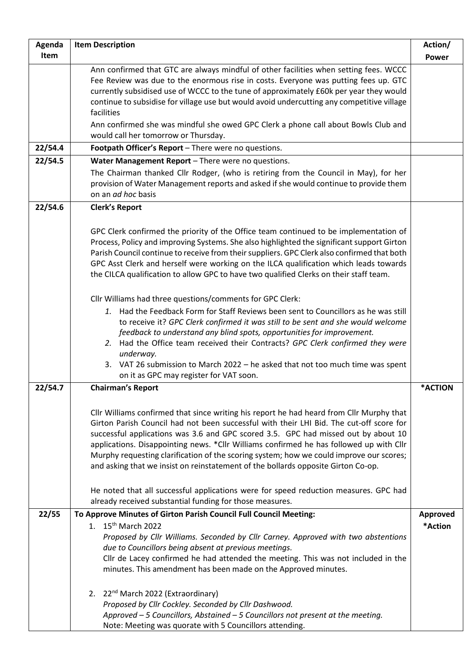| Agenda  | <b>Item Description</b>                                                                                                                                                                                                                                                                                                                                                                                                                                                                                                                                                                                                                                                                                  | Action/         |
|---------|----------------------------------------------------------------------------------------------------------------------------------------------------------------------------------------------------------------------------------------------------------------------------------------------------------------------------------------------------------------------------------------------------------------------------------------------------------------------------------------------------------------------------------------------------------------------------------------------------------------------------------------------------------------------------------------------------------|-----------------|
| Item    |                                                                                                                                                                                                                                                                                                                                                                                                                                                                                                                                                                                                                                                                                                          | <b>Power</b>    |
|         | Ann confirmed that GTC are always mindful of other facilities when setting fees. WCCC<br>Fee Review was due to the enormous rise in costs. Everyone was putting fees up. GTC<br>currently subsidised use of WCCC to the tune of approximately £60k per year they would<br>continue to subsidise for village use but would avoid undercutting any competitive village<br>facilities                                                                                                                                                                                                                                                                                                                       |                 |
|         | Ann confirmed she was mindful she owed GPC Clerk a phone call about Bowls Club and<br>would call her tomorrow or Thursday.                                                                                                                                                                                                                                                                                                                                                                                                                                                                                                                                                                               |                 |
| 22/54.4 | Footpath Officer's Report - There were no questions.                                                                                                                                                                                                                                                                                                                                                                                                                                                                                                                                                                                                                                                     |                 |
| 22/54.5 | Water Management Report - There were no questions.                                                                                                                                                                                                                                                                                                                                                                                                                                                                                                                                                                                                                                                       |                 |
|         | The Chairman thanked Cllr Rodger, (who is retiring from the Council in May), for her<br>provision of Water Management reports and asked if she would continue to provide them<br>on an ad hoc basis                                                                                                                                                                                                                                                                                                                                                                                                                                                                                                      |                 |
| 22/54.6 | <b>Clerk's Report</b>                                                                                                                                                                                                                                                                                                                                                                                                                                                                                                                                                                                                                                                                                    |                 |
|         | GPC Clerk confirmed the priority of the Office team continued to be implementation of<br>Process, Policy and improving Systems. She also highlighted the significant support Girton<br>Parish Council continue to receive from their suppliers. GPC Clerk also confirmed that both<br>GPC Asst Clerk and herself were working on the ILCA qualification which leads towards<br>the CILCA qualification to allow GPC to have two qualified Clerks on their staff team.                                                                                                                                                                                                                                    |                 |
|         | Cllr Williams had three questions/comments for GPC Clerk:                                                                                                                                                                                                                                                                                                                                                                                                                                                                                                                                                                                                                                                |                 |
|         | 1. Had the Feedback Form for Staff Reviews been sent to Councillors as he was still<br>to receive it? GPC Clerk confirmed it was still to be sent and she would welcome<br>feedback to understand any blind spots, opportunities for improvement.<br>2. Had the Office team received their Contracts? GPC Clerk confirmed they were<br>underway.<br>3. VAT 26 submission to March 2022 - he asked that not too much time was spent<br>on it as GPC may register for VAT soon.                                                                                                                                                                                                                            |                 |
| 22/54.7 | <b>Chairman's Report</b>                                                                                                                                                                                                                                                                                                                                                                                                                                                                                                                                                                                                                                                                                 | *ACTION         |
|         | Cllr Williams confirmed that since writing his report he had heard from Cllr Murphy that<br>Girton Parish Council had not been successful with their LHI Bid. The cut-off score for<br>successful applications was 3.6 and GPC scored 3.5. GPC had missed out by about 10<br>applications. Disappointing news. *Cllr Williams confirmed he has followed up with Cllr<br>Murphy requesting clarification of the scoring system; how we could improve our scores;<br>and asking that we insist on reinstatement of the bollards opposite Girton Co-op.<br>He noted that all successful applications were for speed reduction measures. GPC had<br>already received substantial funding for those measures. |                 |
| 22/55   | To Approve Minutes of Girton Parish Council Full Council Meeting:                                                                                                                                                                                                                                                                                                                                                                                                                                                                                                                                                                                                                                        | <b>Approved</b> |
|         | 1. 15 <sup>th</sup> March 2022<br>Proposed by Cllr Williams. Seconded by Cllr Carney. Approved with two abstentions<br>due to Councillors being absent at previous meetings.<br>Cllr de Lacey confirmed he had attended the meeting. This was not included in the<br>minutes. This amendment has been made on the Approved minutes.<br>2. 22 <sup>nd</sup> March 2022 (Extraordinary)<br>Proposed by Cllr Cockley. Seconded by Cllr Dashwood.                                                                                                                                                                                                                                                            | *Action         |
|         | Approved - 5 Councillors, Abstained - 5 Councillors not present at the meeting.<br>Note: Meeting was quorate with 5 Councillors attending.                                                                                                                                                                                                                                                                                                                                                                                                                                                                                                                                                               |                 |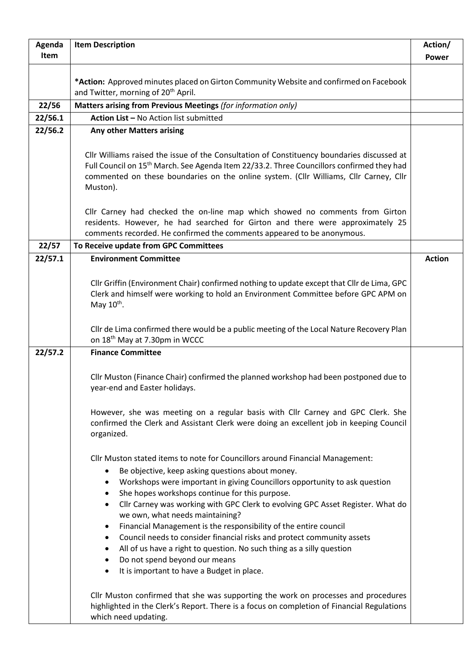| Agenda  | <b>Item Description</b>                                                                                                                                                                                                                                                                                                                                                                                                                                                                                                                                                                                                                                                                                                                                                                           | Action/       |
|---------|---------------------------------------------------------------------------------------------------------------------------------------------------------------------------------------------------------------------------------------------------------------------------------------------------------------------------------------------------------------------------------------------------------------------------------------------------------------------------------------------------------------------------------------------------------------------------------------------------------------------------------------------------------------------------------------------------------------------------------------------------------------------------------------------------|---------------|
| Item    |                                                                                                                                                                                                                                                                                                                                                                                                                                                                                                                                                                                                                                                                                                                                                                                                   | <b>Power</b>  |
|         |                                                                                                                                                                                                                                                                                                                                                                                                                                                                                                                                                                                                                                                                                                                                                                                                   |               |
|         | *Action: Approved minutes placed on Girton Community Website and confirmed on Facebook                                                                                                                                                                                                                                                                                                                                                                                                                                                                                                                                                                                                                                                                                                            |               |
|         | and Twitter, morning of 20 <sup>th</sup> April.<br>Matters arising from Previous Meetings (for information only)                                                                                                                                                                                                                                                                                                                                                                                                                                                                                                                                                                                                                                                                                  |               |
| 22/56   | Action List - No Action list submitted                                                                                                                                                                                                                                                                                                                                                                                                                                                                                                                                                                                                                                                                                                                                                            |               |
| 22/56.1 |                                                                                                                                                                                                                                                                                                                                                                                                                                                                                                                                                                                                                                                                                                                                                                                                   |               |
| 22/56.2 | Any other Matters arising                                                                                                                                                                                                                                                                                                                                                                                                                                                                                                                                                                                                                                                                                                                                                                         |               |
|         | Cllr Williams raised the issue of the Consultation of Constituency boundaries discussed at<br>Full Council on 15 <sup>th</sup> March. See Agenda Item 22/33.2. Three Councillors confirmed they had<br>commented on these boundaries on the online system. (Cllr Williams, Cllr Carney, Cllr<br>Muston).                                                                                                                                                                                                                                                                                                                                                                                                                                                                                          |               |
|         | Cllr Carney had checked the on-line map which showed no comments from Girton<br>residents. However, he had searched for Girton and there were approximately 25<br>comments recorded. He confirmed the comments appeared to be anonymous.                                                                                                                                                                                                                                                                                                                                                                                                                                                                                                                                                          |               |
| 22/57   | To Receive update from GPC Committees                                                                                                                                                                                                                                                                                                                                                                                                                                                                                                                                                                                                                                                                                                                                                             |               |
| 22/57.1 | <b>Environment Committee</b>                                                                                                                                                                                                                                                                                                                                                                                                                                                                                                                                                                                                                                                                                                                                                                      | <b>Action</b> |
|         | Cllr Griffin (Environment Chair) confirmed nothing to update except that Cllr de Lima, GPC<br>Clerk and himself were working to hold an Environment Committee before GPC APM on<br>May $10^{th}$ .                                                                                                                                                                                                                                                                                                                                                                                                                                                                                                                                                                                                |               |
|         | Cllr de Lima confirmed there would be a public meeting of the Local Nature Recovery Plan<br>on 18 <sup>th</sup> May at 7.30pm in WCCC                                                                                                                                                                                                                                                                                                                                                                                                                                                                                                                                                                                                                                                             |               |
| 22/57.2 | <b>Finance Committee</b>                                                                                                                                                                                                                                                                                                                                                                                                                                                                                                                                                                                                                                                                                                                                                                          |               |
|         | Cllr Muston (Finance Chair) confirmed the planned workshop had been postponed due to<br>year-end and Easter holidays.                                                                                                                                                                                                                                                                                                                                                                                                                                                                                                                                                                                                                                                                             |               |
|         | However, she was meeting on a regular basis with Cllr Carney and GPC Clerk. She<br>confirmed the Clerk and Assistant Clerk were doing an excellent job in keeping Council<br>organized.                                                                                                                                                                                                                                                                                                                                                                                                                                                                                                                                                                                                           |               |
|         | Cllr Muston stated items to note for Councillors around Financial Management:<br>Be objective, keep asking questions about money.<br>$\bullet$<br>Workshops were important in giving Councillors opportunity to ask question<br>$\bullet$<br>She hopes workshops continue for this purpose.<br>$\bullet$<br>Cllr Carney was working with GPC Clerk to evolving GPC Asset Register. What do<br>$\bullet$<br>we own, what needs maintaining?<br>Financial Management is the responsibility of the entire council<br>٠<br>Council needs to consider financial risks and protect community assets<br>٠<br>All of us have a right to question. No such thing as a silly question<br>$\bullet$<br>Do not spend beyond our means<br>$\bullet$<br>It is important to have a Budget in place.<br>$\bullet$ |               |
|         | Cllr Muston confirmed that she was supporting the work on processes and procedures<br>highlighted in the Clerk's Report. There is a focus on completion of Financial Regulations<br>which need updating.                                                                                                                                                                                                                                                                                                                                                                                                                                                                                                                                                                                          |               |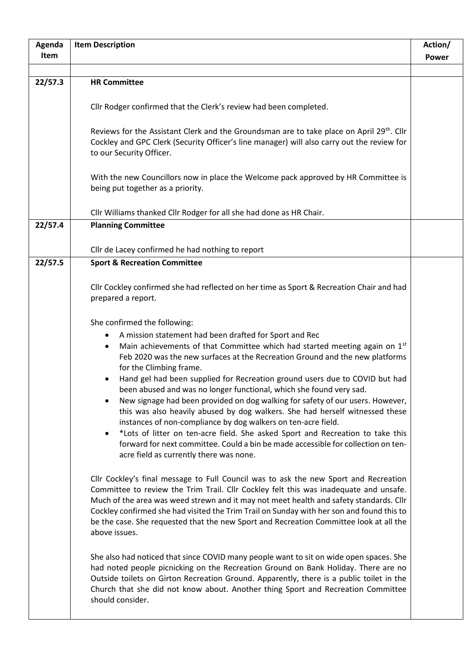| Agenda  | <b>Item Description</b>                                                                                                                                                                                                                                                                                                                                                                                                                                                                                                                                                                                                                                                                                                                                                                                                                                                                                                                                                                                                                                                                                                                                                                                                                                                                                                                                                                                                                                                                                                                                                                                                                                                                                                                                                                               | Action/ |
|---------|-------------------------------------------------------------------------------------------------------------------------------------------------------------------------------------------------------------------------------------------------------------------------------------------------------------------------------------------------------------------------------------------------------------------------------------------------------------------------------------------------------------------------------------------------------------------------------------------------------------------------------------------------------------------------------------------------------------------------------------------------------------------------------------------------------------------------------------------------------------------------------------------------------------------------------------------------------------------------------------------------------------------------------------------------------------------------------------------------------------------------------------------------------------------------------------------------------------------------------------------------------------------------------------------------------------------------------------------------------------------------------------------------------------------------------------------------------------------------------------------------------------------------------------------------------------------------------------------------------------------------------------------------------------------------------------------------------------------------------------------------------------------------------------------------------|---------|
| Item    |                                                                                                                                                                                                                                                                                                                                                                                                                                                                                                                                                                                                                                                                                                                                                                                                                                                                                                                                                                                                                                                                                                                                                                                                                                                                                                                                                                                                                                                                                                                                                                                                                                                                                                                                                                                                       | Power   |
|         |                                                                                                                                                                                                                                                                                                                                                                                                                                                                                                                                                                                                                                                                                                                                                                                                                                                                                                                                                                                                                                                                                                                                                                                                                                                                                                                                                                                                                                                                                                                                                                                                                                                                                                                                                                                                       |         |
| 22/57.3 | <b>HR Committee</b>                                                                                                                                                                                                                                                                                                                                                                                                                                                                                                                                                                                                                                                                                                                                                                                                                                                                                                                                                                                                                                                                                                                                                                                                                                                                                                                                                                                                                                                                                                                                                                                                                                                                                                                                                                                   |         |
|         | Cllr Rodger confirmed that the Clerk's review had been completed.                                                                                                                                                                                                                                                                                                                                                                                                                                                                                                                                                                                                                                                                                                                                                                                                                                                                                                                                                                                                                                                                                                                                                                                                                                                                                                                                                                                                                                                                                                                                                                                                                                                                                                                                     |         |
|         | Reviews for the Assistant Clerk and the Groundsman are to take place on April 29th. Cllr<br>Cockley and GPC Clerk (Security Officer's line manager) will also carry out the review for<br>to our Security Officer.                                                                                                                                                                                                                                                                                                                                                                                                                                                                                                                                                                                                                                                                                                                                                                                                                                                                                                                                                                                                                                                                                                                                                                                                                                                                                                                                                                                                                                                                                                                                                                                    |         |
|         | With the new Councillors now in place the Welcome pack approved by HR Committee is<br>being put together as a priority.                                                                                                                                                                                                                                                                                                                                                                                                                                                                                                                                                                                                                                                                                                                                                                                                                                                                                                                                                                                                                                                                                                                                                                                                                                                                                                                                                                                                                                                                                                                                                                                                                                                                               |         |
|         | Cllr Williams thanked Cllr Rodger for all she had done as HR Chair.                                                                                                                                                                                                                                                                                                                                                                                                                                                                                                                                                                                                                                                                                                                                                                                                                                                                                                                                                                                                                                                                                                                                                                                                                                                                                                                                                                                                                                                                                                                                                                                                                                                                                                                                   |         |
| 22/57.4 | <b>Planning Committee</b>                                                                                                                                                                                                                                                                                                                                                                                                                                                                                                                                                                                                                                                                                                                                                                                                                                                                                                                                                                                                                                                                                                                                                                                                                                                                                                                                                                                                                                                                                                                                                                                                                                                                                                                                                                             |         |
|         |                                                                                                                                                                                                                                                                                                                                                                                                                                                                                                                                                                                                                                                                                                                                                                                                                                                                                                                                                                                                                                                                                                                                                                                                                                                                                                                                                                                                                                                                                                                                                                                                                                                                                                                                                                                                       |         |
|         | Cllr de Lacey confirmed he had nothing to report                                                                                                                                                                                                                                                                                                                                                                                                                                                                                                                                                                                                                                                                                                                                                                                                                                                                                                                                                                                                                                                                                                                                                                                                                                                                                                                                                                                                                                                                                                                                                                                                                                                                                                                                                      |         |
| 22/57.5 | <b>Sport &amp; Recreation Committee</b>                                                                                                                                                                                                                                                                                                                                                                                                                                                                                                                                                                                                                                                                                                                                                                                                                                                                                                                                                                                                                                                                                                                                                                                                                                                                                                                                                                                                                                                                                                                                                                                                                                                                                                                                                               |         |
|         |                                                                                                                                                                                                                                                                                                                                                                                                                                                                                                                                                                                                                                                                                                                                                                                                                                                                                                                                                                                                                                                                                                                                                                                                                                                                                                                                                                                                                                                                                                                                                                                                                                                                                                                                                                                                       |         |
|         | Cllr Cockley confirmed she had reflected on her time as Sport & Recreation Chair and had<br>prepared a report.                                                                                                                                                                                                                                                                                                                                                                                                                                                                                                                                                                                                                                                                                                                                                                                                                                                                                                                                                                                                                                                                                                                                                                                                                                                                                                                                                                                                                                                                                                                                                                                                                                                                                        |         |
|         | She confirmed the following:<br>A mission statement had been drafted for Sport and Rec<br>٠<br>Main achievements of that Committee which had started meeting again on 1st<br>$\bullet$<br>Feb 2020 was the new surfaces at the Recreation Ground and the new platforms<br>for the Climbing frame.<br>Hand gel had been supplied for Recreation ground users due to COVID but had<br>٠<br>been abused and was no longer functional, which she found very sad.<br>New signage had been provided on dog walking for safety of our users. However,<br>this was also heavily abused by dog walkers. She had herself witnessed these<br>instances of non-compliance by dog walkers on ten-acre field.<br>*Lots of litter on ten-acre field. She asked Sport and Recreation to take this<br>$\bullet$<br>forward for next committee. Could a bin be made accessible for collection on ten-<br>acre field as currently there was none.<br>Cllr Cockley's final message to Full Council was to ask the new Sport and Recreation<br>Committee to review the Trim Trail. Cllr Cockley felt this was inadequate and unsafe.<br>Much of the area was weed strewn and it may not meet health and safety standards. Cllr<br>Cockley confirmed she had visited the Trim Trail on Sunday with her son and found this to<br>be the case. She requested that the new Sport and Recreation Committee look at all the<br>above issues.<br>She also had noticed that since COVID many people want to sit on wide open spaces. She<br>had noted people picnicking on the Recreation Ground on Bank Holiday. There are no<br>Outside toilets on Girton Recreation Ground. Apparently, there is a public toilet in the<br>Church that she did not know about. Another thing Sport and Recreation Committee<br>should consider. |         |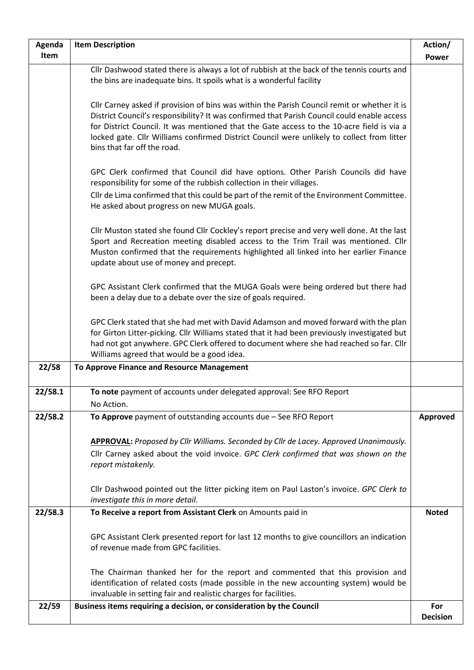| Agenda  | <b>Item Description</b>                                                                                                                                                                                                                                                                                                                                                                                              | Action/                |
|---------|----------------------------------------------------------------------------------------------------------------------------------------------------------------------------------------------------------------------------------------------------------------------------------------------------------------------------------------------------------------------------------------------------------------------|------------------------|
| Item    |                                                                                                                                                                                                                                                                                                                                                                                                                      | <b>Power</b>           |
|         | Cllr Dashwood stated there is always a lot of rubbish at the back of the tennis courts and<br>the bins are inadequate bins. It spoils what is a wonderful facility                                                                                                                                                                                                                                                   |                        |
|         | Cllr Carney asked if provision of bins was within the Parish Council remit or whether it is<br>District Council's responsibility? It was confirmed that Parish Council could enable access<br>for District Council. It was mentioned that the Gate access to the 10-acre field is via a<br>locked gate. Cllr Williams confirmed District Council were unlikely to collect from litter<br>bins that far off the road. |                        |
|         | GPC Clerk confirmed that Council did have options. Other Parish Councils did have<br>responsibility for some of the rubbish collection in their villages.                                                                                                                                                                                                                                                            |                        |
|         | Cllr de Lima confirmed that this could be part of the remit of the Environment Committee.<br>He asked about progress on new MUGA goals.                                                                                                                                                                                                                                                                              |                        |
|         | Cllr Muston stated she found Cllr Cockley's report precise and very well done. At the last<br>Sport and Recreation meeting disabled access to the Trim Trail was mentioned. Cllr<br>Muston confirmed that the requirements highlighted all linked into her earlier Finance<br>update about use of money and precept.                                                                                                 |                        |
|         | GPC Assistant Clerk confirmed that the MUGA Goals were being ordered but there had<br>been a delay due to a debate over the size of goals required.                                                                                                                                                                                                                                                                  |                        |
|         | GPC Clerk stated that she had met with David Adamson and moved forward with the plan<br>for Girton Litter-picking. Cllr Williams stated that it had been previously investigated but<br>had not got anywhere. GPC Clerk offered to document where she had reached so far. Cllr<br>Williams agreed that would be a good idea.                                                                                         |                        |
| 22/58   | To Approve Finance and Resource Management                                                                                                                                                                                                                                                                                                                                                                           |                        |
| 22/58.1 | To note payment of accounts under delegated approval: See RFO Report<br>No Action.                                                                                                                                                                                                                                                                                                                                   |                        |
| 22/58.2 | To Approve payment of outstanding accounts due $-$ See RFO Report                                                                                                                                                                                                                                                                                                                                                    | Approved               |
|         | <b>APPROVAL:</b> Proposed by Cllr Williams. Seconded by Cllr de Lacey. Approved Unanimously.                                                                                                                                                                                                                                                                                                                         |                        |
|         | Cllr Carney asked about the void invoice. GPC Clerk confirmed that was shown on the<br>report mistakenly.                                                                                                                                                                                                                                                                                                            |                        |
|         | Cllr Dashwood pointed out the litter picking item on Paul Laston's invoice. GPC Clerk to<br>investigate this in more detail.                                                                                                                                                                                                                                                                                         |                        |
| 22/58.3 | To Receive a report from Assistant Clerk on Amounts paid in                                                                                                                                                                                                                                                                                                                                                          | <b>Noted</b>           |
|         | GPC Assistant Clerk presented report for last 12 months to give councillors an indication<br>of revenue made from GPC facilities.                                                                                                                                                                                                                                                                                    |                        |
|         | The Chairman thanked her for the report and commented that this provision and<br>identification of related costs (made possible in the new accounting system) would be<br>invaluable in setting fair and realistic charges for facilities.                                                                                                                                                                           |                        |
| 22/59   | Business items requiring a decision, or consideration by the Council                                                                                                                                                                                                                                                                                                                                                 | For<br><b>Decision</b> |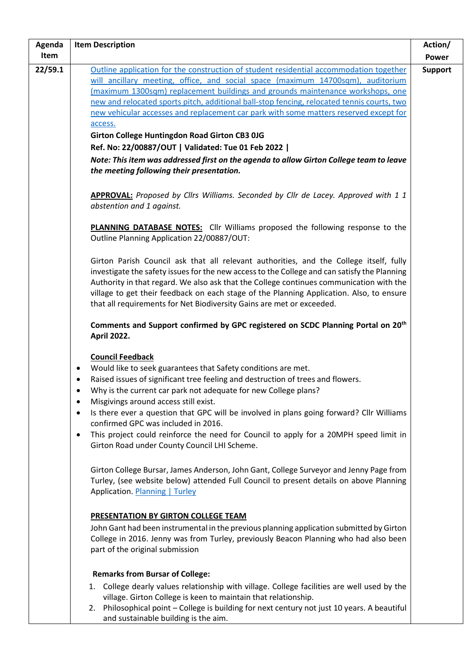| Agenda  | <b>Item Description</b>                                                                                                                                                                                                                                                                                                                                                                                                                                | Action/        |
|---------|--------------------------------------------------------------------------------------------------------------------------------------------------------------------------------------------------------------------------------------------------------------------------------------------------------------------------------------------------------------------------------------------------------------------------------------------------------|----------------|
| Item    |                                                                                                                                                                                                                                                                                                                                                                                                                                                        | <b>Power</b>   |
| 22/59.1 | Outline application for the construction of student residential accommodation together                                                                                                                                                                                                                                                                                                                                                                 | <b>Support</b> |
|         | will ancillary meeting, office, and social space (maximum 14700sqm), auditorium                                                                                                                                                                                                                                                                                                                                                                        |                |
|         | (maximum 1300sqm) replacement buildings and grounds maintenance workshops, one                                                                                                                                                                                                                                                                                                                                                                         |                |
|         | new and relocated sports pitch, additional ball-stop fencing, relocated tennis courts, two                                                                                                                                                                                                                                                                                                                                                             |                |
|         | new vehicular accesses and replacement car park with some matters reserved except for                                                                                                                                                                                                                                                                                                                                                                  |                |
|         | access.                                                                                                                                                                                                                                                                                                                                                                                                                                                |                |
|         | <b>Girton College Huntingdon Road Girton CB3 0JG</b>                                                                                                                                                                                                                                                                                                                                                                                                   |                |
|         | Ref. No: 22/00887/OUT   Validated: Tue 01 Feb 2022                                                                                                                                                                                                                                                                                                                                                                                                     |                |
|         | Note: This item was addressed first on the agenda to allow Girton College team to leave                                                                                                                                                                                                                                                                                                                                                                |                |
|         | the meeting following their presentation.                                                                                                                                                                                                                                                                                                                                                                                                              |                |
|         | <b>APPROVAL:</b> Proposed by Clirs Williams. Seconded by Clir de Lacey. Approved with 1 1<br>abstention and 1 against.                                                                                                                                                                                                                                                                                                                                 |                |
|         | <b>PLANNING DATABASE NOTES:</b> Cllr Williams proposed the following response to the<br>Outline Planning Application 22/00887/OUT:                                                                                                                                                                                                                                                                                                                     |                |
|         | Girton Parish Council ask that all relevant authorities, and the College itself, fully<br>investigate the safety issues for the new access to the College and can satisfy the Planning<br>Authority in that regard. We also ask that the College continues communication with the<br>village to get their feedback on each stage of the Planning Application. Also, to ensure<br>that all requirements for Net Biodiversity Gains are met or exceeded. |                |
|         | Comments and Support confirmed by GPC registered on SCDC Planning Portal on 20 <sup>th</sup><br><b>April 2022.</b>                                                                                                                                                                                                                                                                                                                                     |                |
|         | <b>Council Feedback</b>                                                                                                                                                                                                                                                                                                                                                                                                                                |                |
|         | Would like to seek guarantees that Safety conditions are met.<br>$\bullet$                                                                                                                                                                                                                                                                                                                                                                             |                |
|         | Raised issues of significant tree feeling and destruction of trees and flowers.                                                                                                                                                                                                                                                                                                                                                                        |                |
|         | Why is the current car park not adequate for new College plans?<br>$\bullet$                                                                                                                                                                                                                                                                                                                                                                           |                |
|         | Misgivings around access still exist.<br>$\bullet$                                                                                                                                                                                                                                                                                                                                                                                                     |                |
|         | Is there ever a question that GPC will be involved in plans going forward? Cllr Williams<br>$\bullet$<br>confirmed GPC was included in 2016.                                                                                                                                                                                                                                                                                                           |                |
|         | This project could reinforce the need for Council to apply for a 20MPH speed limit in<br>$\bullet$<br>Girton Road under County Council LHI Scheme.                                                                                                                                                                                                                                                                                                     |                |
|         | Girton College Bursar, James Anderson, John Gant, College Surveyor and Jenny Page from<br>Turley, (see website below) attended Full Council to present details on above Planning<br>Application. Planning   Turley                                                                                                                                                                                                                                     |                |
|         | <b>PRESENTATION BY GIRTON COLLEGE TEAM</b>                                                                                                                                                                                                                                                                                                                                                                                                             |                |
|         | John Gant had been instrumental in the previous planning application submitted by Girton<br>College in 2016. Jenny was from Turley, previously Beacon Planning who had also been<br>part of the original submission                                                                                                                                                                                                                                    |                |
|         | <b>Remarks from Bursar of College:</b>                                                                                                                                                                                                                                                                                                                                                                                                                 |                |
|         | 1. College dearly values relationship with village. College facilities are well used by the<br>village. Girton College is keen to maintain that relationship.<br>2. Philosophical point - College is building for next century not just 10 years. A beautiful<br>and sustainable building is the aim.                                                                                                                                                  |                |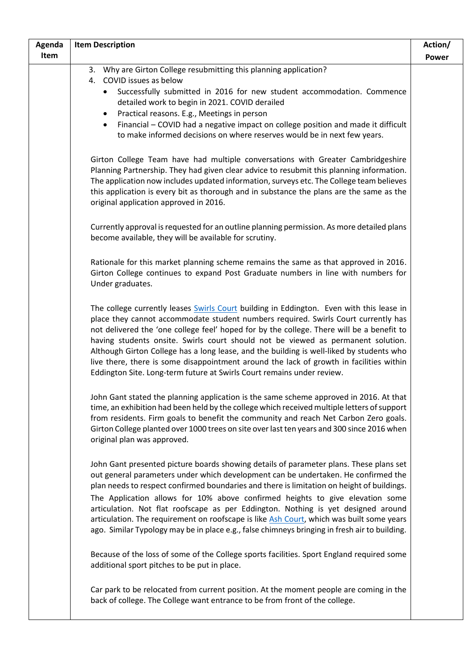| Agenda | <b>Item Description</b>                                                                                                                                                                                                                                                                                                                                                                                                                                                                                                                                                                                                                       | Action/      |
|--------|-----------------------------------------------------------------------------------------------------------------------------------------------------------------------------------------------------------------------------------------------------------------------------------------------------------------------------------------------------------------------------------------------------------------------------------------------------------------------------------------------------------------------------------------------------------------------------------------------------------------------------------------------|--------------|
| Item   |                                                                                                                                                                                                                                                                                                                                                                                                                                                                                                                                                                                                                                               | <b>Power</b> |
|        | 3. Why are Girton College resubmitting this planning application?<br>4. COVID issues as below                                                                                                                                                                                                                                                                                                                                                                                                                                                                                                                                                 |              |
|        | Successfully submitted in 2016 for new student accommodation. Commence<br>$\bullet$<br>detailed work to begin in 2021. COVID derailed                                                                                                                                                                                                                                                                                                                                                                                                                                                                                                         |              |
|        | Practical reasons. E.g., Meetings in person<br>$\bullet$                                                                                                                                                                                                                                                                                                                                                                                                                                                                                                                                                                                      |              |
|        | Financial - COVID had a negative impact on college position and made it difficult<br>$\bullet$<br>to make informed decisions on where reserves would be in next few years.                                                                                                                                                                                                                                                                                                                                                                                                                                                                    |              |
|        | Girton College Team have had multiple conversations with Greater Cambridgeshire<br>Planning Partnership. They had given clear advice to resubmit this planning information.<br>The application now includes updated information, surveys etc. The College team believes<br>this application is every bit as thorough and in substance the plans are the same as the<br>original application approved in 2016.                                                                                                                                                                                                                                 |              |
|        | Currently approval is requested for an outline planning permission. As more detailed plans<br>become available, they will be available for scrutiny.                                                                                                                                                                                                                                                                                                                                                                                                                                                                                          |              |
|        | Rationale for this market planning scheme remains the same as that approved in 2016.<br>Girton College continues to expand Post Graduate numbers in line with numbers for<br>Under graduates.                                                                                                                                                                                                                                                                                                                                                                                                                                                 |              |
|        | The college currently leases Swirls Court building in Eddington. Even with this lease in<br>place they cannot accommodate student numbers required. Swirls Court currently has<br>not delivered the 'one college feel' hoped for by the college. There will be a benefit to<br>having students onsite. Swirls court should not be viewed as permanent solution.<br>Although Girton College has a long lease, and the building is well-liked by students who<br>live there, there is some disappointment around the lack of growth in facilities within<br>Eddington Site. Long-term future at Swirls Court remains under review.              |              |
|        | John Gant stated the planning application is the same scheme approved in 2016. At that<br>time, an exhibition had been held by the college which received multiple letters of support<br>from residents. Firm goals to benefit the community and reach Net Carbon Zero goals.<br>Girton College planted over 1000 trees on site over last ten years and 300 since 2016 when<br>original plan was approved.                                                                                                                                                                                                                                    |              |
|        | John Gant presented picture boards showing details of parameter plans. These plans set<br>out general parameters under which development can be undertaken. He confirmed the<br>plan needs to respect confirmed boundaries and there is limitation on height of buildings.<br>The Application allows for 10% above confirmed heights to give elevation some<br>articulation. Not flat roofscape as per Eddington. Nothing is yet designed around<br>articulation. The requirement on roofscape is like Ash Court, which was built some years<br>ago. Similar Typology may be in place e.g., false chimneys bringing in fresh air to building. |              |
|        | Because of the loss of some of the College sports facilities. Sport England required some<br>additional sport pitches to be put in place.                                                                                                                                                                                                                                                                                                                                                                                                                                                                                                     |              |
|        | Car park to be relocated from current position. At the moment people are coming in the<br>back of college. The College want entrance to be from front of the college.                                                                                                                                                                                                                                                                                                                                                                                                                                                                         |              |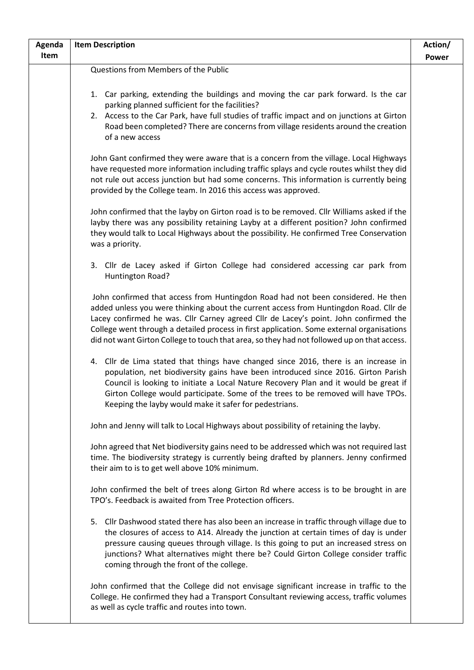| Agenda | <b>Item Description</b>                                                                                                                                                                                                                                                                                                                                                                                                                                       | Action/      |
|--------|---------------------------------------------------------------------------------------------------------------------------------------------------------------------------------------------------------------------------------------------------------------------------------------------------------------------------------------------------------------------------------------------------------------------------------------------------------------|--------------|
| Item   |                                                                                                                                                                                                                                                                                                                                                                                                                                                               | <b>Power</b> |
|        | Questions from Members of the Public                                                                                                                                                                                                                                                                                                                                                                                                                          |              |
|        | 1. Car parking, extending the buildings and moving the car park forward. Is the car<br>parking planned sufficient for the facilities?<br>2. Access to the Car Park, have full studies of traffic impact and on junctions at Girton<br>Road been completed? There are concerns from village residents around the creation<br>of a new access                                                                                                                   |              |
|        | John Gant confirmed they were aware that is a concern from the village. Local Highways<br>have requested more information including traffic splays and cycle routes whilst they did<br>not rule out access junction but had some concerns. This information is currently being<br>provided by the College team. In 2016 this access was approved.                                                                                                             |              |
|        | John confirmed that the layby on Girton road is to be removed. Cllr Williams asked if the<br>layby there was any possibility retaining Layby at a different position? John confirmed<br>they would talk to Local Highways about the possibility. He confirmed Tree Conservation<br>was a priority.                                                                                                                                                            |              |
|        | 3. Cllr de Lacey asked if Girton College had considered accessing car park from<br>Huntington Road?                                                                                                                                                                                                                                                                                                                                                           |              |
|        | John confirmed that access from Huntingdon Road had not been considered. He then<br>added unless you were thinking about the current access from Huntingdon Road. Cllr de<br>Lacey confirmed he was. Cllr Carney agreed Cllr de Lacey's point. John confirmed the<br>College went through a detailed process in first application. Some external organisations<br>did not want Girton College to touch that area, so they had not followed up on that access. |              |
|        | 4. Cllr de Lima stated that things have changed since 2016, there is an increase in<br>population, net biodiversity gains have been introduced since 2016. Girton Parish<br>Council is looking to initiate a Local Nature Recovery Plan and it would be great if<br>Girton College would participate. Some of the trees to be removed will have TPOs.<br>Keeping the layby would make it safer for pedestrians.                                               |              |
|        | John and Jenny will talk to Local Highways about possibility of retaining the layby.                                                                                                                                                                                                                                                                                                                                                                          |              |
|        | John agreed that Net biodiversity gains need to be addressed which was not required last<br>time. The biodiversity strategy is currently being drafted by planners. Jenny confirmed<br>their aim to is to get well above 10% minimum.                                                                                                                                                                                                                         |              |
|        | John confirmed the belt of trees along Girton Rd where access is to be brought in are<br>TPO's. Feedback is awaited from Tree Protection officers.                                                                                                                                                                                                                                                                                                            |              |
|        | 5. Cllr Dashwood stated there has also been an increase in traffic through village due to<br>the closures of access to A14. Already the junction at certain times of day is under<br>pressure causing queues through village. Is this going to put an increased stress on<br>junctions? What alternatives might there be? Could Girton College consider traffic<br>coming through the front of the college.                                                   |              |
|        | John confirmed that the College did not envisage significant increase in traffic to the<br>College. He confirmed they had a Transport Consultant reviewing access, traffic volumes<br>as well as cycle traffic and routes into town.                                                                                                                                                                                                                          |              |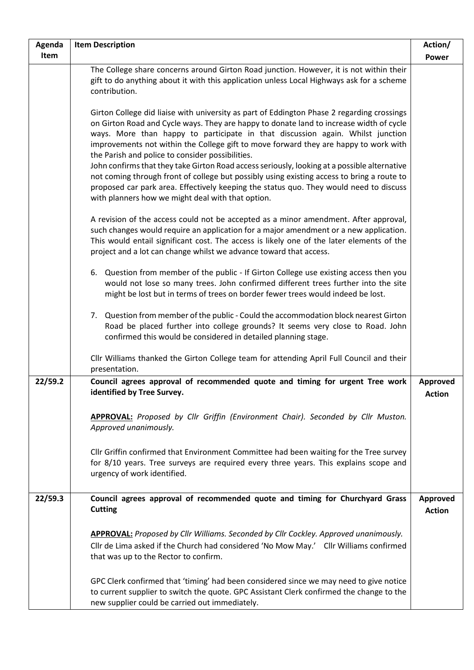| Agenda  | <b>Item Description</b>                                                                                                                                                                                                                                                                                                                                                                                                                                                                                                                                                                                                                                                                                                                                          | Action/                          |
|---------|------------------------------------------------------------------------------------------------------------------------------------------------------------------------------------------------------------------------------------------------------------------------------------------------------------------------------------------------------------------------------------------------------------------------------------------------------------------------------------------------------------------------------------------------------------------------------------------------------------------------------------------------------------------------------------------------------------------------------------------------------------------|----------------------------------|
| Item    |                                                                                                                                                                                                                                                                                                                                                                                                                                                                                                                                                                                                                                                                                                                                                                  | <b>Power</b>                     |
|         | The College share concerns around Girton Road junction. However, it is not within their<br>gift to do anything about it with this application unless Local Highways ask for a scheme<br>contribution.                                                                                                                                                                                                                                                                                                                                                                                                                                                                                                                                                            |                                  |
|         | Girton College did liaise with university as part of Eddington Phase 2 regarding crossings<br>on Girton Road and Cycle ways. They are happy to donate land to increase width of cycle<br>ways. More than happy to participate in that discussion again. Whilst junction<br>improvements not within the College gift to move forward they are happy to work with<br>the Parish and police to consider possibilities.<br>John confirms that they take Girton Road access seriously, looking at a possible alternative<br>not coming through front of college but possibly using existing access to bring a route to<br>proposed car park area. Effectively keeping the status quo. They would need to discuss<br>with planners how we might deal with that option. |                                  |
|         | A revision of the access could not be accepted as a minor amendment. After approval,<br>such changes would require an application for a major amendment or a new application.<br>This would entail significant cost. The access is likely one of the later elements of the<br>project and a lot can change whilst we advance toward that access.                                                                                                                                                                                                                                                                                                                                                                                                                 |                                  |
|         | 6. Question from member of the public - If Girton College use existing access then you<br>would not lose so many trees. John confirmed different trees further into the site<br>might be lost but in terms of trees on border fewer trees would indeed be lost.                                                                                                                                                                                                                                                                                                                                                                                                                                                                                                  |                                  |
|         | 7. Question from member of the public - Could the accommodation block nearest Girton<br>Road be placed further into college grounds? It seems very close to Road. John<br>confirmed this would be considered in detailed planning stage.                                                                                                                                                                                                                                                                                                                                                                                                                                                                                                                         |                                  |
|         | Cllr Williams thanked the Girton College team for attending April Full Council and their<br>presentation.                                                                                                                                                                                                                                                                                                                                                                                                                                                                                                                                                                                                                                                        |                                  |
| 22/59.2 | Council agrees approval of recommended quote and timing for urgent Tree work<br>identified by Tree Survey.                                                                                                                                                                                                                                                                                                                                                                                                                                                                                                                                                                                                                                                       | <b>Approved</b><br><b>Action</b> |
|         | <b>APPROVAL:</b> Proposed by Cllr Griffin (Environment Chair). Seconded by Cllr Muston.<br>Approved unanimously.                                                                                                                                                                                                                                                                                                                                                                                                                                                                                                                                                                                                                                                 |                                  |
|         | Cllr Griffin confirmed that Environment Committee had been waiting for the Tree survey<br>for 8/10 years. Tree surveys are required every three years. This explains scope and<br>urgency of work identified.                                                                                                                                                                                                                                                                                                                                                                                                                                                                                                                                                    |                                  |
| 22/59.3 | Council agrees approval of recommended quote and timing for Churchyard Grass<br><b>Cutting</b>                                                                                                                                                                                                                                                                                                                                                                                                                                                                                                                                                                                                                                                                   | Approved<br><b>Action</b>        |
|         | APPROVAL: Proposed by Cllr Williams. Seconded by Cllr Cockley. Approved unanimously.                                                                                                                                                                                                                                                                                                                                                                                                                                                                                                                                                                                                                                                                             |                                  |
|         | Cllr de Lima asked if the Church had considered 'No Mow May.' Cllr Williams confirmed<br>that was up to the Rector to confirm.                                                                                                                                                                                                                                                                                                                                                                                                                                                                                                                                                                                                                                   |                                  |
|         | GPC Clerk confirmed that 'timing' had been considered since we may need to give notice<br>to current supplier to switch the quote. GPC Assistant Clerk confirmed the change to the<br>new supplier could be carried out immediately.                                                                                                                                                                                                                                                                                                                                                                                                                                                                                                                             |                                  |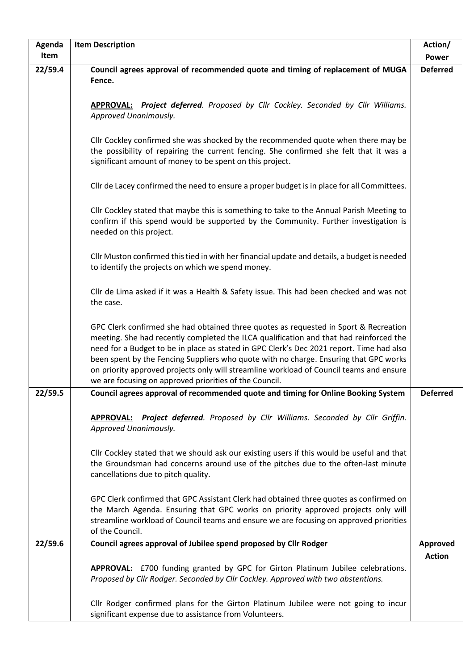| Agenda  | <b>Item Description</b>                                                                                                                                                                                                                                                                                                                                                                                                                                                                                                  | Action/         |
|---------|--------------------------------------------------------------------------------------------------------------------------------------------------------------------------------------------------------------------------------------------------------------------------------------------------------------------------------------------------------------------------------------------------------------------------------------------------------------------------------------------------------------------------|-----------------|
| Item    |                                                                                                                                                                                                                                                                                                                                                                                                                                                                                                                          | <b>Power</b>    |
| 22/59.4 | Council agrees approval of recommended quote and timing of replacement of MUGA<br>Fence.                                                                                                                                                                                                                                                                                                                                                                                                                                 | <b>Deferred</b> |
|         | <b>APPROVAL:</b> Project deferred. Proposed by Cllr Cockley. Seconded by Cllr Williams.<br>Approved Unanimously.                                                                                                                                                                                                                                                                                                                                                                                                         |                 |
|         | Cllr Cockley confirmed she was shocked by the recommended quote when there may be<br>the possibility of repairing the current fencing. She confirmed she felt that it was a<br>significant amount of money to be spent on this project.                                                                                                                                                                                                                                                                                  |                 |
|         | Cllr de Lacey confirmed the need to ensure a proper budget is in place for all Committees.                                                                                                                                                                                                                                                                                                                                                                                                                               |                 |
|         | Cllr Cockley stated that maybe this is something to take to the Annual Parish Meeting to<br>confirm if this spend would be supported by the Community. Further investigation is<br>needed on this project.                                                                                                                                                                                                                                                                                                               |                 |
|         | Cllr Muston confirmed this tied in with her financial update and details, a budget is needed<br>to identify the projects on which we spend money.                                                                                                                                                                                                                                                                                                                                                                        |                 |
|         | Cllr de Lima asked if it was a Health & Safety issue. This had been checked and was not<br>the case.                                                                                                                                                                                                                                                                                                                                                                                                                     |                 |
|         | GPC Clerk confirmed she had obtained three quotes as requested in Sport & Recreation<br>meeting. She had recently completed the ILCA qualification and that had reinforced the<br>need for a Budget to be in place as stated in GPC Clerk's Dec 2021 report. Time had also<br>been spent by the Fencing Suppliers who quote with no charge. Ensuring that GPC works<br>on priority approved projects only will streamline workload of Council teams and ensure<br>we are focusing on approved priorities of the Council. |                 |
| 22/59.5 | Council agrees approval of recommended quote and timing for Online Booking System                                                                                                                                                                                                                                                                                                                                                                                                                                        | <b>Deferred</b> |
|         | APPROVAL: Project deferred. Proposed by Cllr Williams. Seconded by Cllr Griffin.<br>Approved Unanimously.                                                                                                                                                                                                                                                                                                                                                                                                                |                 |
|         | Cllr Cockley stated that we should ask our existing users if this would be useful and that<br>the Groundsman had concerns around use of the pitches due to the often-last minute<br>cancellations due to pitch quality.                                                                                                                                                                                                                                                                                                  |                 |
|         | GPC Clerk confirmed that GPC Assistant Clerk had obtained three quotes as confirmed on<br>the March Agenda. Ensuring that GPC works on priority approved projects only will<br>streamline workload of Council teams and ensure we are focusing on approved priorities<br>of the Council.                                                                                                                                                                                                                                 |                 |
| 22/59.6 | Council agrees approval of Jubilee spend proposed by Cllr Rodger                                                                                                                                                                                                                                                                                                                                                                                                                                                         | Approved        |
|         | APPROVAL: £700 funding granted by GPC for Girton Platinum Jubilee celebrations.<br>Proposed by Cllr Rodger. Seconded by Cllr Cockley. Approved with two abstentions.                                                                                                                                                                                                                                                                                                                                                     | <b>Action</b>   |
|         | Cllr Rodger confirmed plans for the Girton Platinum Jubilee were not going to incur<br>significant expense due to assistance from Volunteers.                                                                                                                                                                                                                                                                                                                                                                            |                 |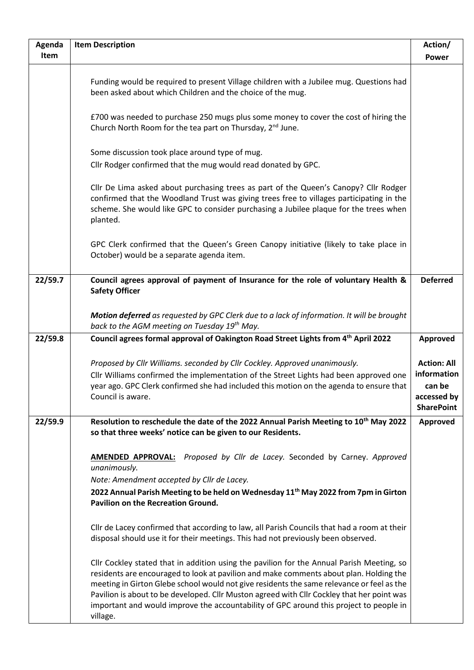| Agenda  | <b>Item Description</b>                                                                                                                                                                                                                                                                                                                                                                                                                                                              | Action/                                                                         |
|---------|--------------------------------------------------------------------------------------------------------------------------------------------------------------------------------------------------------------------------------------------------------------------------------------------------------------------------------------------------------------------------------------------------------------------------------------------------------------------------------------|---------------------------------------------------------------------------------|
| Item    |                                                                                                                                                                                                                                                                                                                                                                                                                                                                                      | <b>Power</b>                                                                    |
|         | Funding would be required to present Village children with a Jubilee mug. Questions had<br>been asked about which Children and the choice of the mug.                                                                                                                                                                                                                                                                                                                                |                                                                                 |
|         | £700 was needed to purchase 250 mugs plus some money to cover the cost of hiring the<br>Church North Room for the tea part on Thursday, 2 <sup>nd</sup> June.                                                                                                                                                                                                                                                                                                                        |                                                                                 |
|         | Some discussion took place around type of mug.<br>Cllr Rodger confirmed that the mug would read donated by GPC.                                                                                                                                                                                                                                                                                                                                                                      |                                                                                 |
|         | Cllr De Lima asked about purchasing trees as part of the Queen's Canopy? Cllr Rodger<br>confirmed that the Woodland Trust was giving trees free to villages participating in the<br>scheme. She would like GPC to consider purchasing a Jubilee plaque for the trees when<br>planted.                                                                                                                                                                                                |                                                                                 |
|         | GPC Clerk confirmed that the Queen's Green Canopy initiative (likely to take place in<br>October) would be a separate agenda item.                                                                                                                                                                                                                                                                                                                                                   |                                                                                 |
| 22/59.7 | Council agrees approval of payment of Insurance for the role of voluntary Health &<br><b>Safety Officer</b>                                                                                                                                                                                                                                                                                                                                                                          | <b>Deferred</b>                                                                 |
|         | Motion deferred as requested by GPC Clerk due to a lack of information. It will be brought<br>back to the AGM meeting on Tuesday 19 <sup>th</sup> May.                                                                                                                                                                                                                                                                                                                               |                                                                                 |
| 22/59.8 | Council agrees formal approval of Oakington Road Street Lights from 4 <sup>th</sup> April 2022                                                                                                                                                                                                                                                                                                                                                                                       | Approved                                                                        |
|         | Proposed by Cllr Williams. seconded by Cllr Cockley. Approved unanimously.<br>Cllr Williams confirmed the implementation of the Street Lights had been approved one<br>year ago. GPC Clerk confirmed she had included this motion on the agenda to ensure that<br>Council is aware.                                                                                                                                                                                                  | <b>Action: All</b><br>information<br>can be<br>accessed by<br><b>SharePoint</b> |
| 22/59.9 | Resolution to reschedule the date of the 2022 Annual Parish Meeting to 10 <sup>th</sup> May 2022<br>so that three weeks' notice can be given to our Residents.                                                                                                                                                                                                                                                                                                                       | Approved                                                                        |
|         | Proposed by Cllr de Lacey. Seconded by Carney. Approved<br>AMENDED APPROVAL:<br>unanimously.<br>Note: Amendment accepted by Cllr de Lacey.<br>2022 Annual Parish Meeting to be held on Wednesday 11 <sup>th</sup> May 2022 from 7pm in Girton<br><b>Pavilion on the Recreation Ground.</b>                                                                                                                                                                                           |                                                                                 |
|         | Cllr de Lacey confirmed that according to law, all Parish Councils that had a room at their<br>disposal should use it for their meetings. This had not previously been observed.                                                                                                                                                                                                                                                                                                     |                                                                                 |
|         | Cllr Cockley stated that in addition using the pavilion for the Annual Parish Meeting, so<br>residents are encouraged to look at pavilion and make comments about plan. Holding the<br>meeting in Girton Glebe school would not give residents the same relevance or feel as the<br>Pavilion is about to be developed. Cllr Muston agreed with Cllr Cockley that her point was<br>important and would improve the accountability of GPC around this project to people in<br>village. |                                                                                 |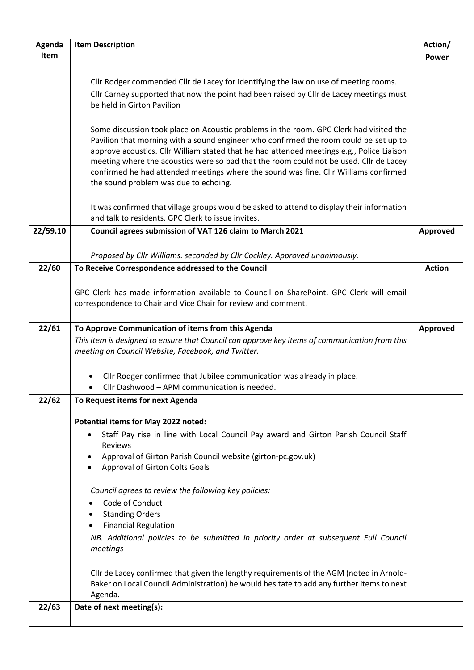| Agenda   | <b>Item Description</b>                                                                                                                                                                                                                                                                                                                                                                                                                                                                                 | Action/       |
|----------|---------------------------------------------------------------------------------------------------------------------------------------------------------------------------------------------------------------------------------------------------------------------------------------------------------------------------------------------------------------------------------------------------------------------------------------------------------------------------------------------------------|---------------|
| Item     |                                                                                                                                                                                                                                                                                                                                                                                                                                                                                                         | <b>Power</b>  |
|          | Cllr Rodger commended Cllr de Lacey for identifying the law on use of meeting rooms.<br>Cllr Carney supported that now the point had been raised by Cllr de Lacey meetings must<br>be held in Girton Pavilion                                                                                                                                                                                                                                                                                           |               |
|          | Some discussion took place on Acoustic problems in the room. GPC Clerk had visited the<br>Pavilion that morning with a sound engineer who confirmed the room could be set up to<br>approve acoustics. Cllr William stated that he had attended meetings e.g., Police Liaison<br>meeting where the acoustics were so bad that the room could not be used. Cllr de Lacey<br>confirmed he had attended meetings where the sound was fine. Cllr Williams confirmed<br>the sound problem was due to echoing. |               |
|          | It was confirmed that village groups would be asked to attend to display their information<br>and talk to residents. GPC Clerk to issue invites.                                                                                                                                                                                                                                                                                                                                                        |               |
| 22/59.10 | Council agrees submission of VAT 126 claim to March 2021                                                                                                                                                                                                                                                                                                                                                                                                                                                | Approved      |
|          |                                                                                                                                                                                                                                                                                                                                                                                                                                                                                                         |               |
|          | Proposed by Cllr Williams. seconded by Cllr Cockley. Approved unanimously.                                                                                                                                                                                                                                                                                                                                                                                                                              |               |
| 22/60    | To Receive Correspondence addressed to the Council                                                                                                                                                                                                                                                                                                                                                                                                                                                      | <b>Action</b> |
|          | GPC Clerk has made information available to Council on SharePoint. GPC Clerk will email<br>correspondence to Chair and Vice Chair for review and comment.                                                                                                                                                                                                                                                                                                                                               |               |
| 22/61    | To Approve Communication of items from this Agenda                                                                                                                                                                                                                                                                                                                                                                                                                                                      | Approved      |
|          | This item is designed to ensure that Council can approve key items of communication from this<br>meeting on Council Website, Facebook, and Twitter.                                                                                                                                                                                                                                                                                                                                                     |               |
|          | Cllr Rodger confirmed that Jubilee communication was already in place.<br>Cllr Dashwood - APM communication is needed.                                                                                                                                                                                                                                                                                                                                                                                  |               |
| 22/62    | To Request items for next Agenda                                                                                                                                                                                                                                                                                                                                                                                                                                                                        |               |
|          |                                                                                                                                                                                                                                                                                                                                                                                                                                                                                                         |               |
|          | Potential items for May 2022 noted:                                                                                                                                                                                                                                                                                                                                                                                                                                                                     |               |
|          | Staff Pay rise in line with Local Council Pay award and Girton Parish Council Staff<br>$\bullet$<br>Reviews                                                                                                                                                                                                                                                                                                                                                                                             |               |
|          | Approval of Girton Parish Council website (girton-pc.gov.uk)<br>$\bullet$                                                                                                                                                                                                                                                                                                                                                                                                                               |               |
|          | Approval of Girton Colts Goals                                                                                                                                                                                                                                                                                                                                                                                                                                                                          |               |
|          | Council agrees to review the following key policies:<br>Code of Conduct                                                                                                                                                                                                                                                                                                                                                                                                                                 |               |
|          | <b>Standing Orders</b>                                                                                                                                                                                                                                                                                                                                                                                                                                                                                  |               |
|          | <b>Financial Regulation</b>                                                                                                                                                                                                                                                                                                                                                                                                                                                                             |               |
|          | NB. Additional policies to be submitted in priority order at subsequent Full Council<br>meetings                                                                                                                                                                                                                                                                                                                                                                                                        |               |
|          | Cllr de Lacey confirmed that given the lengthy requirements of the AGM (noted in Arnold-<br>Baker on Local Council Administration) he would hesitate to add any further items to next<br>Agenda.                                                                                                                                                                                                                                                                                                        |               |
| 22/63    | Date of next meeting(s):                                                                                                                                                                                                                                                                                                                                                                                                                                                                                |               |
|          |                                                                                                                                                                                                                                                                                                                                                                                                                                                                                                         |               |